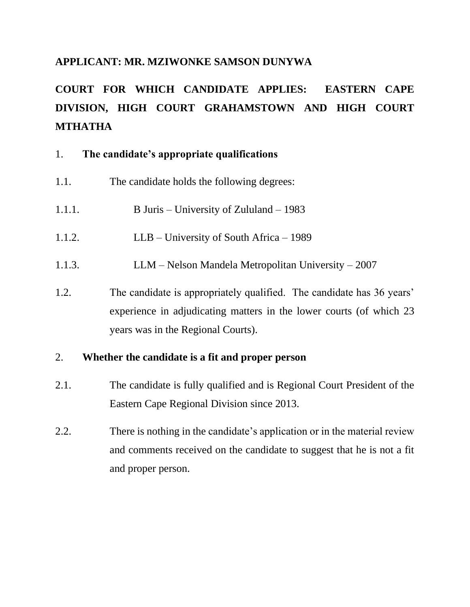#### **APPLICANT: MR. MZIWONKE SAMSON DUNYWA**

# **COURT FOR WHICH CANDIDATE APPLIES: EASTERN CAPE DIVISION, HIGH COURT GRAHAMSTOWN AND HIGH COURT MTHATHA**

#### 1. **The candidate's appropriate qualifications**

- 1.1. The candidate holds the following degrees:
- 1.1.1. B Juris University of Zululand 1983
- 1.1.2. LLB University of South Africa 1989
- 1.1.3. LLM Nelson Mandela Metropolitan University 2007
- 1.2. The candidate is appropriately qualified. The candidate has 36 years' experience in adjudicating matters in the lower courts (of which 23 years was in the Regional Courts).

#### 2. **Whether the candidate is a fit and proper person**

- 2.1. The candidate is fully qualified and is Regional Court President of the Eastern Cape Regional Division since 2013.
- 2.2. There is nothing in the candidate's application or in the material review and comments received on the candidate to suggest that he is not a fit and proper person.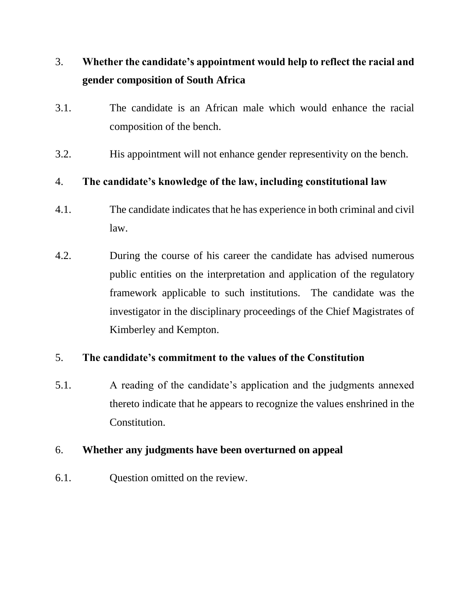## 3. **Whether the candidate's appointment would help to reflect the racial and gender composition of South Africa**

- 3.1. The candidate is an African male which would enhance the racial composition of the bench.
- 3.2. His appointment will not enhance gender representivity on the bench.

## 4. **The candidate's knowledge of the law, including constitutional law**

- 4.1. The candidate indicates that he has experience in both criminal and civil law.
- 4.2. During the course of his career the candidate has advised numerous public entities on the interpretation and application of the regulatory framework applicable to such institutions. The candidate was the investigator in the disciplinary proceedings of the Chief Magistrates of Kimberley and Kempton.

## 5. **The candidate's commitment to the values of the Constitution**

5.1. A reading of the candidate's application and the judgments annexed thereto indicate that he appears to recognize the values enshrined in the Constitution.

#### 6. **Whether any judgments have been overturned on appeal**

6.1. Question omitted on the review.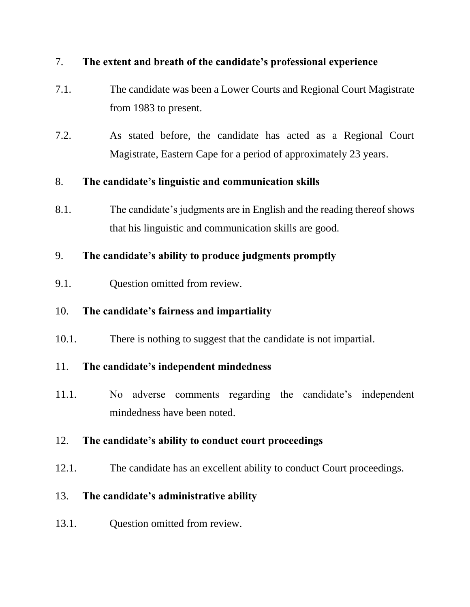#### 7. **The extent and breath of the candidate's professional experience**

- 7.1. The candidate was been a Lower Courts and Regional Court Magistrate from 1983 to present.
- 7.2. As stated before, the candidate has acted as a Regional Court Magistrate, Eastern Cape for a period of approximately 23 years.

## 8. **The candidate's linguistic and communication skills**

8.1. The candidate's judgments are in English and the reading thereof shows that his linguistic and communication skills are good.

## 9. **The candidate's ability to produce judgments promptly**

9.1. Question omitted from review.

## 10. **The candidate's fairness and impartiality**

10.1. There is nothing to suggest that the candidate is not impartial.

## 11. **The candidate's independent mindedness**

11.1. No adverse comments regarding the candidate's independent mindedness have been noted.

## 12. **The candidate's ability to conduct court proceedings**

12.1. The candidate has an excellent ability to conduct Court proceedings.

## 13. **The candidate's administrative ability**

13.1. Question omitted from review.